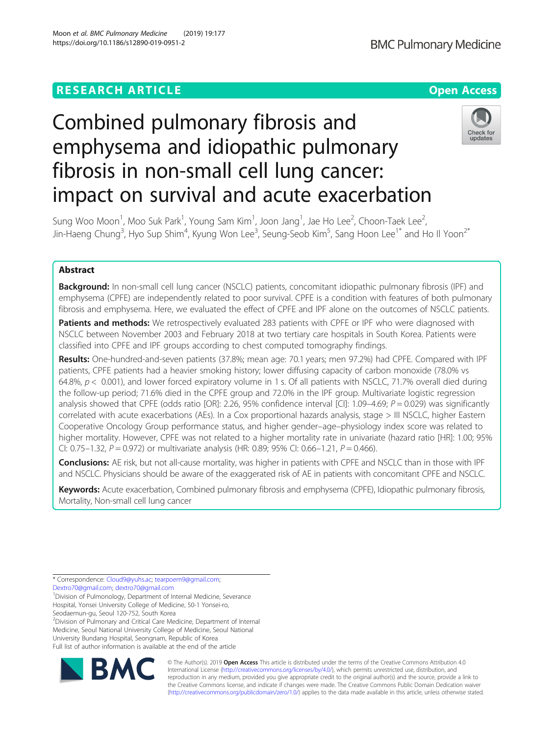## **RESEARCH ARTICLE Example 2014 12:30 The Contract of Contract ACCESS**

# Combined pulmonary fibrosis and emphysema and idiopathic pulmonary fibrosis in non-small cell lung cancer: impact on survival and acute exacerbation

Sung Woo Moon $^1$ , Moo Suk Park $^1$ , Young Sam Kim $^1$ , Joon Jang $^1$ , Jae Ho Lee $^2$ , Choon-Taek Lee $^2$ , Jin-Haeng Chung<sup>3</sup>, Hyo Sup Shim<sup>4</sup>, Kyung Won Lee<sup>3</sup>, Seung-Seob Kim<sup>5</sup>, Sang Hoon Lee<sup>1\*</sup> and Ho Il Yoon<sup>2\*</sup>

## Abstract

**Background:** In non-small cell lung cancer (NSCLC) patients, concomitant idiopathic pulmonary fibrosis (IPF) and emphysema (CPFE) are independently related to poor survival. CPFE is a condition with features of both pulmonary fibrosis and emphysema. Here, we evaluated the effect of CPFE and IPF alone on the outcomes of NSCLC patients.

Patients and methods: We retrospectively evaluated 283 patients with CPFE or IPF who were diagnosed with NSCLC between November 2003 and February 2018 at two tertiary care hospitals in South Korea. Patients were classified into CPFE and IPF groups according to chest computed tomography findings.

Results: One-hundred-and-seven patients (37.8%; mean age: 70.1 years; men 97.2%) had CPFE. Compared with IPF patients, CPFE patients had a heavier smoking history; lower diffusing capacity of carbon monoxide (78.0% vs 64.8%,  $p < 0.001$ ), and lower forced expiratory volume in 1 s. Of all patients with NSCLC, 71.7% overall died during the follow-up period; 71.6% died in the CPFE group and 72.0% in the IPF group. Multivariate logistic regression analysis showed that CPFE (odds ratio [OR]: 2.26, 95% confidence interval [CI]: 1.09–4.69;  $P = 0.029$ ) was significantly correlated with acute exacerbations (AEs). In a Cox proportional hazards analysis, stage > III NSCLC, higher Eastern Cooperative Oncology Group performance status, and higher gender–age–physiology index score was related to higher mortality. However, CPFE was not related to a higher mortality rate in univariate (hazard ratio [HR]: 1.00; 95% CI: 0.75–1.32,  $P = 0.972$ ) or multivariate analysis (HR: 0.89; 95% CI: 0.66–1.21,  $P = 0.466$ ).

Conclusions: AE risk, but not all-cause mortality, was higher in patients with CPFE and NSCLC than in those with IPF and NSCLC. Physicians should be aware of the exaggerated risk of AE in patients with concomitant CPFE and NSCLC.

Keywords: Acute exacerbation, Combined pulmonary fibrosis and emphysema (CPFE), Idiopathic pulmonary fibrosis, Mortality, Non-small cell lung cancer

\* Correspondence: [Cloud9@yuhs.ac](mailto:Cloud9@yuhs.ac); [tearpoem9@gmail.com;](mailto:tearpoem9@gmail.com) [Dextro70@gmail.com;](mailto:Dextro70@gmail.com) [dextro70@gmail.com](mailto:dextro70@gmail.com) <sup>1</sup>

<sup>1</sup> Division of Pulmonology, Department of Internal Medicine, Severance Hospital, Yonsei University College of Medicine, 50-1 Yonsei-ro,

Seodaemun-gu, Seoul 120-752, South Korea

<sup>2</sup> Division of Pulmonary and Critical Care Medicine, Department of Internal Medicine, Seoul National University College of Medicine, Seoul National University Bundang Hospital, Seongnam, Republic of Korea Full list of author information is available at the end of the article





© The Author(s). 2019 **Open Access** This article is distributed under the terms of the Creative Commons Attribution 4.0 International License [\(http://creativecommons.org/licenses/by/4.0/](http://creativecommons.org/licenses/by/4.0/)), which permits unrestricted use, distribution, and reproduction in any medium, provided you give appropriate credit to the original author(s) and the source, provide a link to the Creative Commons license, and indicate if changes were made. The Creative Commons Public Domain Dedication waiver [\(http://creativecommons.org/publicdomain/zero/1.0/](http://creativecommons.org/publicdomain/zero/1.0/)) applies to the data made available in this article, unless otherwise stated.



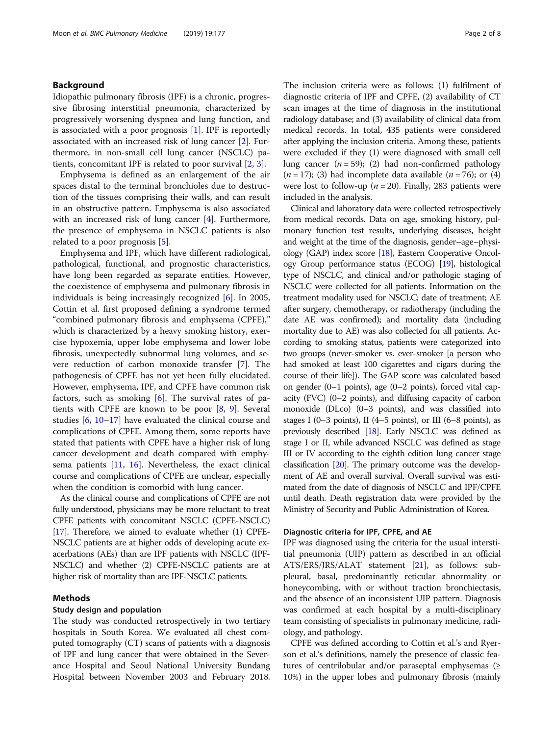## Background

Idiopathic pulmonary fibrosis (IPF) is a chronic, progressive fibrosing interstitial pneumonia, characterized by progressively worsening dyspnea and lung function, and is associated with a poor prognosis [\[1](#page-6-0)]. IPF is reportedly associated with an increased risk of lung cancer [\[2](#page-6-0)]. Furthermore, in non-small cell lung cancer (NSCLC) patients, concomitant IPF is related to poor survival [\[2](#page-6-0), [3](#page-6-0)].

Emphysema is defined as an enlargement of the air spaces distal to the terminal bronchioles due to destruction of the tissues comprising their walls, and can result in an obstructive pattern. Emphysema is also associated with an increased risk of lung cancer [[4\]](#page-6-0). Furthermore, the presence of emphysema in NSCLC patients is also related to a poor prognosis [[5](#page-6-0)].

Emphysema and IPF, which have different radiological, pathological, functional, and prognostic characteristics, have long been regarded as separate entities. However, the coexistence of emphysema and pulmonary fibrosis in individuals is being increasingly recognized [[6\]](#page-6-0). In 2005, Cottin et al. first proposed defining a syndrome termed "combined pulmonary fibrosis and emphysema (CPFE)," which is characterized by a heavy smoking history, exercise hypoxemia, upper lobe emphysema and lower lobe fibrosis, unexpectedly subnormal lung volumes, and severe reduction of carbon monoxide transfer [\[7](#page-6-0)]. The pathogenesis of CPFE has not yet been fully elucidated. However, emphysema, IPF, and CPFE have common risk factors, such as smoking  $[6]$  $[6]$ . The survival rates of patients with CPFE are known to be poor [[8](#page-6-0), [9\]](#page-6-0). Several studies [\[6](#page-6-0), [10](#page-6-0)–[17](#page-7-0)] have evaluated the clinical course and complications of CPFE. Among them, some reports have stated that patients with CPFE have a higher risk of lung cancer development and death compared with emphysema patients [\[11](#page-6-0), [16\]](#page-7-0). Nevertheless, the exact clinical course and complications of CPFE are unclear, especially when the condition is comorbid with lung cancer.

As the clinical course and complications of CPFE are not fully understood, physicians may be more reluctant to treat CPFE patients with concomitant NSCLC (CPFE-NSCLC) [[17](#page-7-0)]. Therefore, we aimed to evaluate whether (1) CPFE-NSCLC patients are at higher odds of developing acute exacerbations (AEs) than are IPF patients with NSCLC (IPF-NSCLC) and whether (2) CPFE-NSCLC patients are at higher risk of mortality than are IPF-NSCLC patients.

## Methods

#### Study design and population

The study was conducted retrospectively in two tertiary hospitals in South Korea. We evaluated all chest computed tomography (CT) scans of patients with a diagnosis of IPF and lung cancer that were obtained in the Severance Hospital and Seoul National University Bundang Hospital between November 2003 and February 2018. The inclusion criteria were as follows: (1) fulfilment of diagnostic criteria of IPF and CPFE, (2) availability of CT scan images at the time of diagnosis in the institutional radiology database; and (3) availability of clinical data from medical records. In total, 435 patients were considered after applying the inclusion criteria. Among these, patients were excluded if they (1) were diagnosed with small cell lung cancer  $(n = 59)$ ; (2) had non-confirmed pathology  $(n = 17)$ ; (3) had incomplete data available  $(n = 76)$ ; or (4) were lost to follow-up ( $n = 20$ ). Finally, 283 patients were included in the analysis.

Clinical and laboratory data were collected retrospectively from medical records. Data on age, smoking history, pulmonary function test results, underlying diseases, height and weight at the time of the diagnosis, gender–age–physiology (GAP) index score [[18](#page-7-0)], Eastern Cooperative Oncology Group performance status (ECOG) [\[19\]](#page-7-0), histological type of NSCLC, and clinical and/or pathologic staging of NSCLC were collected for all patients. Information on the treatment modality used for NSCLC; date of treatment; AE after surgery, chemotherapy, or radiotherapy (including the date AE was confirmed); and mortality data (including mortality due to AE) was also collected for all patients. According to smoking status, patients were categorized into two groups (never-smoker vs. ever-smoker [a person who had smoked at least 100 cigarettes and cigars during the course of their life]). The GAP score was calculated based on gender (0–1 points), age (0–2 points), forced vital capacity (FVC) (0–2 points), and diffusing capacity of carbon monoxide (DLco) (0–3 points), and was classified into stages I (0–3 points), II (4–5 points), or III (6–8 points), as previously described [\[18\]](#page-7-0). Early NSCLC was defined as stage I or II, while advanced NSCLC was defined as stage III or IV according to the eighth edition lung cancer stage classification [[20](#page-7-0)]. The primary outcome was the development of AE and overall survival. Overall survival was estimated from the date of diagnosis of NSCLC and IPF/CPFE until death. Death registration data were provided by the Ministry of Security and Public Administration of Korea.

## Diagnostic criteria for IPF, CPFE, and AE

IPF was diagnosed using the criteria for the usual interstitial pneumonia (UIP) pattern as described in an official ATS/ERS/JRS/ALAT statement [\[21\]](#page-7-0), as follows: subpleural, basal, predominantly reticular abnormality or honeycombing, with or without traction bronchiectasis, and the absence of an inconsistent UIP pattern. Diagnosis was confirmed at each hospital by a multi-disciplinary team consisting of specialists in pulmonary medicine, radiology, and pathology.

CPFE was defined according to Cottin et al.'s and Ryerson et al.'s definitions, namely the presence of classic features of centrilobular and/or paraseptal emphysemas (≥ 10%) in the upper lobes and pulmonary fibrosis (mainly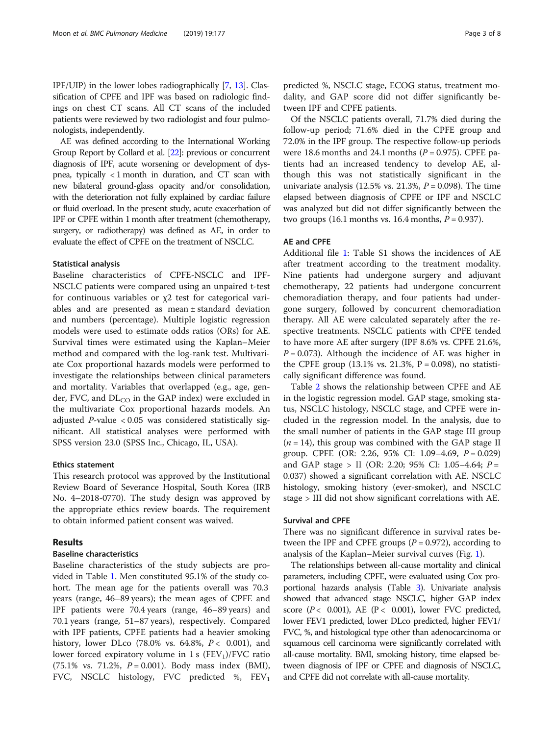IPF/UIP) in the lower lobes radiographically [[7,](#page-6-0) [13\]](#page-6-0). Classification of CPFE and IPF was based on radiologic findings on chest CT scans. All CT scans of the included patients were reviewed by two radiologist and four pulmonologists, independently.

AE was defined according to the International Working Group Report by Collard et al. [\[22](#page-7-0)]: previous or concurrent diagnosis of IPF, acute worsening or development of dyspnea, typically < 1 month in duration, and CT scan with new bilateral ground-glass opacity and/or consolidation, with the deterioration not fully explained by cardiac failure or fluid overload. In the present study, acute exacerbation of IPF or CPFE within 1 month after treatment (chemotherapy, surgery, or radiotherapy) was defined as AE, in order to evaluate the effect of CPFE on the treatment of NSCLC.

#### Statistical analysis

Baseline characteristics of CPFE-NSCLC and IPF-NSCLC patients were compared using an unpaired t-test for continuous variables or  $\chi$ 2 test for categorical variables and are presented as mean ± standard deviation and numbers (percentage). Multiple logistic regression models were used to estimate odds ratios (ORs) for AE. Survival times were estimated using the Kaplan–Meier method and compared with the log-rank test. Multivariate Cox proportional hazards models were performed to investigate the relationships between clinical parameters and mortality. Variables that overlapped (e.g., age, gender, FVC, and  $DL_{CO}$  in the GAP index) were excluded in the multivariate Cox proportional hazards models. An adjusted  $P$ -value < 0.05 was considered statistically significant. All statistical analyses were performed with SPSS version 23.0 (SPSS Inc., Chicago, IL, USA).

#### Ethics statement

This research protocol was approved by the Institutional Review Board of Severance Hospital, South Korea (IRB No. 4–2018-0770). The study design was approved by the appropriate ethics review boards. The requirement to obtain informed patient consent was waived.

## Results

### Baseline characteristics

Baseline characteristics of the study subjects are provided in Table [1](#page-3-0). Men constituted 95.1% of the study cohort. The mean age for the patients overall was 70.3 years (range, 46–89 years); the mean ages of CPFE and IPF patients were 70.4 years (range, 46–89 years) and 70.1 years (range, 51–87 years), respectively. Compared with IPF patients, CPFE patients had a heavier smoking history, lower DLco  $(78.0\% \text{ vs. } 64.8\%, P < 0.001)$ , and lower forced expiratory volume in 1 s  $(FEV_1)/FVC$  ratio  $(75.1\% \text{ vs. } 71.2\%, P = 0.001)$ . Body mass index (BMI), FVC, NSCLC histology, FVC predicted %,  $FEV_1$ 

tween IPF and CPFE patients. Of the NSCLC patients overall, 71.7% died during the follow-up period; 71.6% died in the CPFE group and 72.0% in the IPF group. The respective follow-up periods were 18.6 months and 24.1 months ( $P = 0.975$ ). CPFE patients had an increased tendency to develop AE, although this was not statistically significant in the univariate analysis (12.5% vs. 21.3%,  $P = 0.098$ ). The time elapsed between diagnosis of CPFE or IPF and NSCLC was analyzed but did not differ significantly between the two groups (16.1 months vs. 16.4 months,  $P = 0.937$ ).

#### AE and CPFE

Additional file [1](#page-6-0): Table S1 shows the incidences of AE after treatment according to the treatment modality. Nine patients had undergone surgery and adjuvant chemotherapy, 22 patients had undergone concurrent chemoradiation therapy, and four patients had undergone surgery, followed by concurrent chemoradiation therapy. All AE were calculated separately after the respective treatments. NSCLC patients with CPFE tended to have more AE after surgery (IPF 8.6% vs. CPFE 21.6%,  $P = 0.073$ ). Although the incidence of AE was higher in the CPFE group  $(13.1\% \text{ vs. } 21.3\%, P = 0.098)$ , no statistically significant difference was found.

Table [2](#page-4-0) shows the relationship between CPFE and AE in the logistic regression model. GAP stage, smoking status, NSCLC histology, NSCLC stage, and CPFE were included in the regression model. In the analysis, due to the small number of patients in the GAP stage III group  $(n = 14)$ , this group was combined with the GAP stage II group. CPFE (OR: 2.26, 95% CI: 1.09–4.69, P = 0.029) and GAP stage > II (OR: 2.20; 95% CI: 1.05–4.64;  $P =$ 0.037) showed a significant correlation with AE. NSCLC histology, smoking history (ever-smoker), and NSCLC stage > III did not show significant correlations with AE.

#### Survival and CPFE

There was no significant difference in survival rates between the IPF and CPFE groups ( $P = 0.972$ ), according to analysis of the Kaplan–Meier survival curves (Fig. [1](#page-4-0)).

The relationships between all-cause mortality and clinical parameters, including CPFE, were evaluated using Cox proportional hazards analysis (Table [3](#page-5-0)). Univariate analysis showed that advanced stage NSCLC, higher GAP index score  $(P < 0.001)$ , AE  $(P < 0.001)$ , lower FVC predicted, lower FEV1 predicted, lower DLco predicted, higher FEV1/ FVC, %, and histological type other than adenocarcinoma or squamous cell carcinoma were significantly correlated with all-cause mortality. BMI, smoking history, time elapsed between diagnosis of IPF or CPFE and diagnosis of NSCLC, and CPFE did not correlate with all-cause mortality.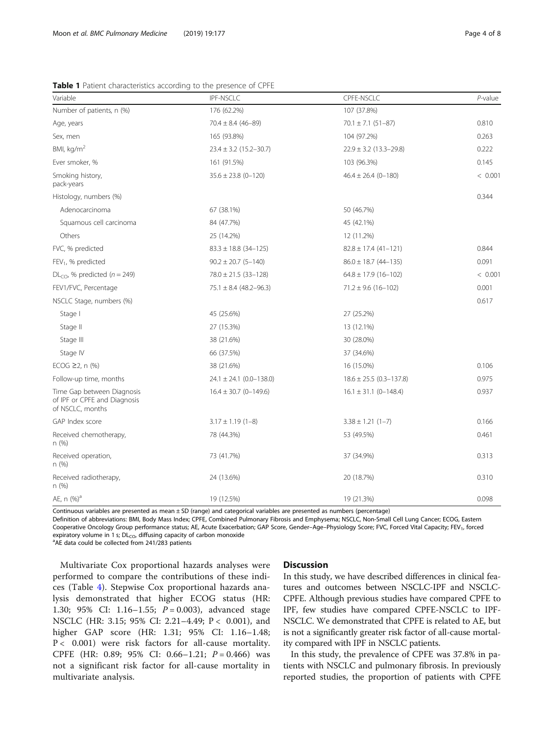<span id="page-3-0"></span>Table 1 Patient characteristics according to the presence of CPFE

| Variable                                                                       | IPF-NSCLC                     | CPFE-NSCLC                  | $P$ -value |
|--------------------------------------------------------------------------------|-------------------------------|-----------------------------|------------|
| Number of patients, n (%)                                                      | 176 (62.2%)                   | 107 (37.8%)                 |            |
| Age, years                                                                     | $70.4 \pm 8.4 (46 - 89)$      | $70.1 \pm 7.1$ (51-87)      | 0.810      |
| Sex, men                                                                       | 165 (93.8%)                   | 104 (97.2%)                 | 0.263      |
| BMI, kg/m <sup>2</sup>                                                         | $23.4 \pm 3.2$ (15.2-30.7)    | $22.9 \pm 3.2$ (13.3-29.8)  | 0.222      |
| Ever smoker, %                                                                 | 161 (91.5%)                   | 103 (96.3%)                 | 0.145      |
| Smoking history,<br>pack-years                                                 | $35.6 \pm 23.8$ (0-120)       | $46.4 \pm 26.4$ (0-180)     | < 0.001    |
| Histology, numbers (%)                                                         |                               |                             | 0.344      |
| Adenocarcinoma                                                                 | 67 (38.1%)                    | 50 (46.7%)                  |            |
| Squamous cell carcinoma                                                        | 84 (47.7%)                    | 45 (42.1%)                  |            |
| Others                                                                         | 25 (14.2%)                    | 12 (11.2%)                  |            |
| FVC, % predicted                                                               | $83.3 \pm 18.8$ (34-125)      | $82.8 \pm 17.4 (41 - 121)$  | 0.844      |
| FEV <sub>1</sub> , % predicted                                                 | $90.2 \pm 20.7$ (5-140)       | $86.0 \pm 18.7$ (44-135)    | 0.091      |
| $DL_{CO}$ , % predicted ( $n = 249$ )                                          | $78.0 \pm 21.5$ (33-128)      | $64.8 \pm 17.9$ (16-102)    | < 0.001    |
| FEV1/FVC, Percentage                                                           | $75.1 \pm 8.4 (48.2 - 96.3)$  | $71.2 \pm 9.6$ (16-102)     | 0.001      |
| NSCLC Stage, numbers (%)                                                       |                               |                             | 0.617      |
| Stage I                                                                        | 45 (25.6%)                    | 27 (25.2%)                  |            |
| Stage II                                                                       | 27 (15.3%)                    | 13 (12.1%)                  |            |
| Stage III                                                                      | 38 (21.6%)                    | 30 (28.0%)                  |            |
| Stage IV                                                                       | 66 (37.5%)                    | 37 (34.6%)                  |            |
| ECOG $\geq$ 2, n (%)                                                           | 38 (21.6%)                    | 16 (15.0%)                  | 0.106      |
| Follow-up time, months                                                         | $24.1 \pm 24.1 (0.0 - 138.0)$ | $18.6 \pm 25.5$ (0.3-137.8) | 0.975      |
| Time Gap between Diagnosis<br>of IPF or CPFE and Diagnosis<br>of NSCLC, months | $16.4 \pm 30.7$ (0-149.6)     | $16.1 \pm 31.1$ (0-148.4)   | 0.937      |
| GAP Index score                                                                | $3.17 \pm 1.19$ (1-8)         | $3.38 \pm 1.21$ (1-7)       | 0.166      |
| Received chemotherapy,<br>n(%)                                                 | 78 (44.3%)                    | 53 (49.5%)                  | 0.461      |
| Received operation,<br>n(%)                                                    | 73 (41.7%)                    | 37 (34.9%)                  | 0.313      |
| Received radiotherapy,<br>n (%)                                                | 24 (13.6%)                    | 20 (18.7%)                  | 0.310      |
| AE, n (%) <sup>a</sup>                                                         | 19 (12.5%)                    | 19 (21.3%)                  | 0.098      |

: SD (range) and categorical vari

Definition of abbreviations: BMI, Body Mass Index; CPFE, Combined Pulmonary Fibrosis and Emphysema; NSCLC, Non-Small Cell Lung Cancer; ECOG, Eastern Cooperative Oncology Group performance status; AE, Acute Exacerbation; GAP Score, Gender–Age–Physiology Score; FVC, Forced Vital Capacity; FEV<sub>1</sub>, forced expiratory volume in 1 s;  $DL_{CO}$ , diffusing capacity of carbon monoxide

<sup>a</sup>AE data could be collected from 241/283 patients

Multivariate Cox proportional hazards analyses were performed to compare the contributions of these indices (Table [4](#page-5-0)). Stepwise Cox proportional hazards analysis demonstrated that higher ECOG status (HR: 1.30; 95% CI: 1.16–1.55; P = 0.003), advanced stage NSCLC (HR: 3.15; 95% CI: 2.21-4.49; P < 0.001), and higher GAP score (HR: 1.31; 95% CI: 1.16–1.48; P < 0.001) were risk factors for all-cause mortality. CPFE (HR: 0.89; 95% CI: 0.66-1.21;  $P = 0.466$ ) was not a significant risk factor for all-cause mortality in multivariate analysis.

## **Discussion**

In this study, we have described differences in clinical features and outcomes between NSCLC-IPF and NSCLC-CPFE. Although previous studies have compared CPFE to IPF, few studies have compared CPFE-NSCLC to IPF-NSCLC. We demonstrated that CPFE is related to AE, but is not a significantly greater risk factor of all-cause mortality compared with IPF in NSCLC patients.

In this study, the prevalence of CPFE was 37.8% in patients with NSCLC and pulmonary fibrosis. In previously reported studies, the proportion of patients with CPFE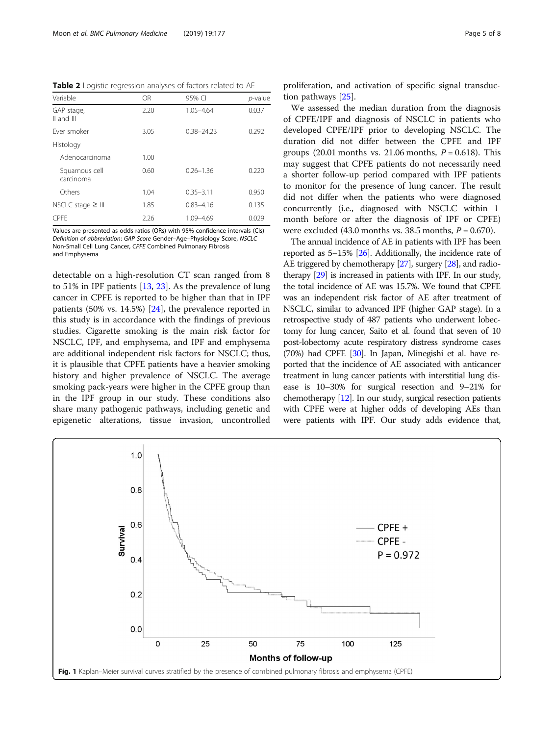<span id="page-4-0"></span>Table 2 Logistic regression analyses of factors related to AE

| Variable                   | OR   | 95% CI         | p-value |
|----------------------------|------|----------------|---------|
| GAP stage,<br>II and III   | 2.20 | $1.05 - 4.64$  | 0.037   |
| Fver smoker                | 3.05 | $0.38 - 24.23$ | 0.292   |
| Histology                  |      |                |         |
| Adenocarcinoma             | 1.00 |                |         |
| Squamous cell<br>carcinoma | 0.60 | $0.26 - 1.36$  | 0.220   |
| Others                     | 1.04 | $0.35 - 3.11$  | 0.950   |
| NSCLC stage $\geq$ III     | 1.85 | $0.83 - 4.16$  | 0.135   |
| <b>CPFF</b>                | 2.26 | 1.09-4.69      | 0.029   |

Values are presented as odds ratios (ORs) with 95% confidence intervals (CIs) Definition of abbreviation: GAP Score Gender–Age–Physiology Score, NSCLC Non-Small Cell Lung Cancer, CPFE Combined Pulmonary Fibrosis and Emphysema

detectable on a high-resolution CT scan ranged from 8 to 51% in IPF patients [\[13](#page-6-0), [23\]](#page-7-0). As the prevalence of lung cancer in CPFE is reported to be higher than that in IPF patients (50% vs. 14.5%) [[24\]](#page-7-0), the prevalence reported in this study is in accordance with the findings of previous studies. Cigarette smoking is the main risk factor for NSCLC, IPF, and emphysema, and IPF and emphysema are additional independent risk factors for NSCLC; thus, it is plausible that CPFE patients have a heavier smoking history and higher prevalence of NSCLC. The average smoking pack-years were higher in the CPFE group than in the IPF group in our study. These conditions also share many pathogenic pathways, including genetic and epigenetic alterations, tissue invasion, uncontrolled proliferation, and activation of specific signal transduction pathways [[25](#page-7-0)].

We assessed the median duration from the diagnosis of CPFE/IPF and diagnosis of NSCLC in patients who developed CPFE/IPF prior to developing NSCLC. The duration did not differ between the CPFE and IPF groups (20.01 months vs. 21.06 months,  $P = 0.618$ ). This may suggest that CPFE patients do not necessarily need a shorter follow-up period compared with IPF patients to monitor for the presence of lung cancer. The result did not differ when the patients who were diagnosed concurrently (i.e., diagnosed with NSCLC within 1 month before or after the diagnosis of IPF or CPFE) were excluded (43.0 months vs. 38.5 months,  $P = 0.670$ ).

The annual incidence of AE in patients with IPF has been reported as 5–15% [[26\]](#page-7-0). Additionally, the incidence rate of AE triggered by chemotherapy [\[27](#page-7-0)], surgery [\[28](#page-7-0)], and radiotherapy [\[29\]](#page-7-0) is increased in patients with IPF. In our study, the total incidence of AE was 15.7%. We found that CPFE was an independent risk factor of AE after treatment of NSCLC, similar to advanced IPF (higher GAP stage). In a retrospective study of 487 patients who underwent lobectomy for lung cancer, Saito et al. found that seven of 10 post-lobectomy acute respiratory distress syndrome cases (70%) had CPFE [\[30](#page-7-0)]. In Japan, Minegishi et al. have reported that the incidence of AE associated with anticancer treatment in lung cancer patients with interstitial lung disease is 10–30% for surgical resection and 9–21% for chemotherapy [\[12\]](#page-6-0). In our study, surgical resection patients with CPFE were at higher odds of developing AEs than were patients with IPF. Our study adds evidence that,

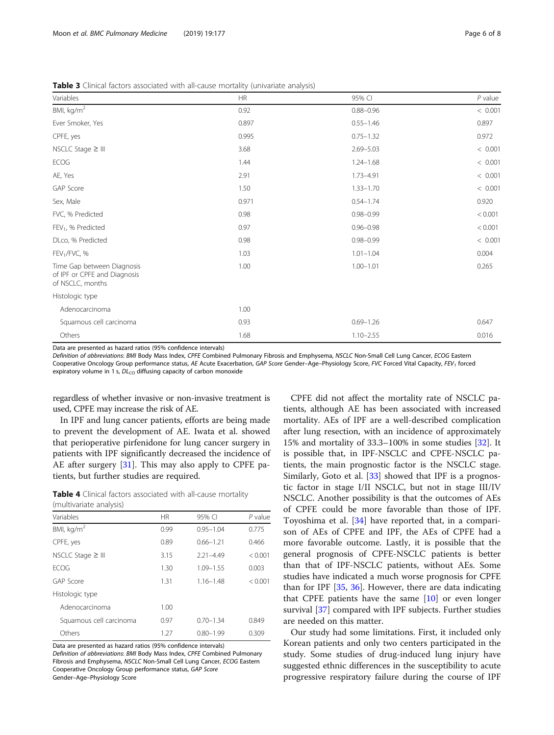| Variables                                                                      | <b>HR</b> | 95% CI        | $P$ value |
|--------------------------------------------------------------------------------|-----------|---------------|-----------|
| BMI, kg/m <sup>2</sup>                                                         | 0.92      | $0.88 - 0.96$ | < 0.001   |
| Ever Smoker, Yes                                                               | 0.897     | $0.55 - 1.46$ | 0.897     |
| CPFE, yes                                                                      | 0.995     | $0.75 - 1.32$ | 0.972     |
| $NSCLC$ Stage $\geq$ III                                                       | 3.68      | $2.69 - 5.03$ | < 0.001   |
| <b>ECOG</b>                                                                    | 1.44      | $1.24 - 1.68$ | < 0.001   |
| AE, Yes                                                                        | 2.91      | $1.73 - 4.91$ | < 0.001   |
| GAP Score                                                                      | 1.50      | $1.33 - 1.70$ | < 0.001   |
| Sex, Male                                                                      | 0.971     | $0.54 - 1.74$ | 0.920     |
| FVC, % Predicted                                                               | 0.98      | $0.98 - 0.99$ | < 0.001   |
| FEV <sub>1</sub> , % Predicted                                                 | 0.97      | $0.96 - 0.98$ | < 0.001   |
| DLco, % Predicted                                                              | 0.98      | $0.98 - 0.99$ | < 0.001   |
| FEV <sub>1</sub> /FVC, %                                                       | 1.03      | $1.01 - 1.04$ | 0.004     |
| Time Gap between Diagnosis<br>of IPF or CPFE and Diagnosis<br>of NSCLC, months | 1.00      | $1.00 - 1.01$ | 0.265     |
| Histologic type                                                                |           |               |           |
| Adenocarcinoma                                                                 | 1.00      |               |           |
| Squamous cell carcinoma                                                        | 0.93      | $0.69 - 1.26$ | 0.647     |
| Others                                                                         | 1.68      | $1.10 - 2.55$ | 0.016     |

<span id="page-5-0"></span>Table 3 Clinical factors associated with all-cause mortality (univariate analysis)

Data are presented as hazard ratios (95% confidence intervals)

Definition of abbreviations: BMI Body Mass Index, CPFE Combined Pulmonary Fibrosis and Emphysema, NSCLC Non-Small Cell Lung Cancer, ECOG Eastern Cooperative Oncology Group performance status, AE Acute Exacerbation, GAP Score Gender–Age–Physiology Score, FVC Forced Vital Capacity, FEV1 forced expiratory volume in 1 s,  $DL_{CO}$  diffusing capacity of carbon monoxide

regardless of whether invasive or non-invasive treatment is used, CPFE may increase the risk of AE.

In IPF and lung cancer patients, efforts are being made to prevent the development of AE. Iwata et al. showed that perioperative pirfenidone for lung cancer surgery in patients with IPF significantly decreased the incidence of AE after surgery [\[31\]](#page-7-0). This may also apply to CPFE patients, but further studies are required.

|                         |  | <b>Table 4</b> Clinical factors associated with all-cause mortality |  |  |
|-------------------------|--|---------------------------------------------------------------------|--|--|
| (multivariate analysis) |  |                                                                     |  |  |

| Variables               | <b>HR</b> | 95% CI        | $P$ value |
|-------------------------|-----------|---------------|-----------|
| BMI, $kg/m2$            | 0.99      | $0.95 - 1.04$ | 0.775     |
| CPFE, yes               | 0.89      | $0.66 - 1.21$ | 0.466     |
| NSCLC Stage $\geq$ III  | 3.15      | $2.21 - 4.49$ | < 0.001   |
| <b>FCOG</b>             | 1.30      | 1.09-1.55     | 0.003     |
| GAP Score               | 1.31      | $1.16 - 1.48$ | < 0.001   |
| Histologic type         |           |               |           |
| Adenocarcinoma          | 1.00      |               |           |
| Squamous cell carcinoma | 0.97      | $0.70 - 1.34$ | 0.849     |
| Others                  | 1.27      | $0.80 - 1.99$ | 0.309     |

Data are presented as hazard ratios (95% confidence intervals)

Definition of abbreviations: BMI Body Mass Index, CPFE Combined Pulmonary Fibrosis and Emphysema, NSCLC Non-Small Cell Lung Cancer, ECOG Eastern Cooperative Oncology Group performance status, GAP Score Gender–Age–Physiology Score

CPFE did not affect the mortality rate of NSCLC patients, although AE has been associated with increased mortality. AEs of IPF are a well-described complication after lung resection, with an incidence of approximately 15% and mortality of 33.3–100% in some studies [[32](#page-7-0)]. It is possible that, in IPF-NSCLC and CPFE-NSCLC patients, the main prognostic factor is the NSCLC stage. Similarly, Goto et al. [\[33\]](#page-7-0) showed that IPF is a prognostic factor in stage I/II NSCLC, but not in stage III/IV NSCLC. Another possibility is that the outcomes of AEs of CPFE could be more favorable than those of IPF. Toyoshima et al. [\[34](#page-7-0)] have reported that, in a comparison of AEs of CPFE and IPF, the AEs of CPFE had a more favorable outcome. Lastly, it is possible that the general prognosis of CPFE-NSCLC patients is better than that of IPF-NSCLC patients, without AEs. Some studies have indicated a much worse prognosis for CPFE than for IPF [[35,](#page-7-0) [36\]](#page-7-0). However, there are data indicating that CPFE patients have the same  $[10]$  $[10]$  $[10]$  or even longer survival [\[37\]](#page-7-0) compared with IPF subjects. Further studies are needed on this matter.

Our study had some limitations. First, it included only Korean patients and only two centers participated in the study. Some studies of drug-induced lung injury have suggested ethnic differences in the susceptibility to acute progressive respiratory failure during the course of IPF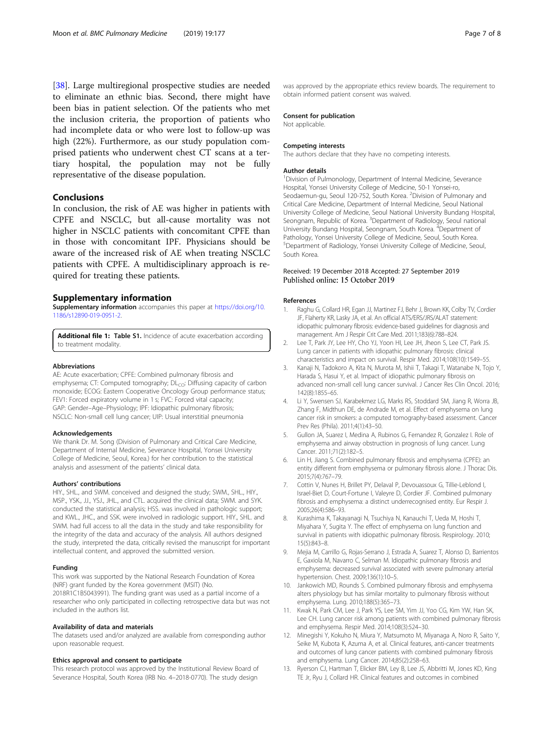<span id="page-6-0"></span>[[38\]](#page-7-0). Large multiregional prospective studies are needed to eliminate an ethnic bias. Second, there might have been bias in patient selection. Of the patients who met the inclusion criteria, the proportion of patients who had incomplete data or who were lost to follow-up was high (22%). Furthermore, as our study population comprised patients who underwent chest CT scans at a tertiary hospital, the population may not be fully representative of the disease population.

## Conclusions

In conclusion, the risk of AE was higher in patients with CPFE and NSCLC, but all-cause mortality was not higher in NSCLC patients with concomitant CPFE than in those with concomitant IPF. Physicians should be aware of the increased risk of AE when treating NSCLC patients with CPFE. A multidisciplinary approach is required for treating these patients.

#### Supplementary information

Supplementary information accompanies this paper at [https://doi.org/10.](https://doi.org/10.1186/s12890-019-0951-2) [1186/s12890-019-0951-2.](https://doi.org/10.1186/s12890-019-0951-2)

Additional file 1: Table S1. Incidence of acute exacerbation according to treatment modality.

#### Abbreviations

AE: Acute exacerbation; CPFE: Combined pulmonary fibrosis and emphysema; CT: Computed tomography; DL<sub>CO</sub>: Diffusing capacity of carbon monoxide; ECOG: Eastern Cooperative Oncology Group performance status; FEV1: Forced expiratory volume in 1 s; FVC: Forced vital capacity; GAP: Gender–Age–Physiology; IPF: Idiopathic pulmonary fibrosis; NSCLC: Non-small cell lung cancer; UIP: Usual interstitial pneumonia

#### Acknowledgements

We thank Dr. M. Song (Division of Pulmonary and Critical Care Medicine, Department of Internal Medicine, Severance Hospital, Yonsei University College of Medicine, Seoul, Korea.) for her contribution to the statistical analysis and assessment of the patients' clinical data.

#### Authors' contributions

HIY., SHL., and SWM. conceived and designed the study; SWM., SHL., HIY., MSP., YSK., JJ., YSJ., JHL., and CTL. acquired the clinical data; SWM. and SYK. conducted the statistical analysis; HSS. was involved in pathologic support; and KWL., JHC., and SSK. were involved in radiologic support. HIY., SHL. and SWM. had full access to all the data in the study and take responsibility for the integrity of the data and accuracy of the analysis. All authors designed the study, interpreted the data, critically revised the manuscript for important intellectual content, and approved the submitted version.

#### Funding

This work was supported by the National Research Foundation of Korea (NRF) grant funded by the Korea government (MSIT) (No. 2018R1C1B5043991). The funding grant was used as a partial income of a researcher who only participated in collecting retrospective data but was not included in the authors list.

#### Availability of data and materials

The datasets used and/or analyzed are available from corresponding author upon reasonable request.

#### Ethics approval and consent to participate

This research protocol was approved by the Institutional Review Board of Severance Hospital, South Korea (IRB No. 4–2018-0770). The study design

was approved by the appropriate ethics review boards. The requirement to obtain informed patient consent was waived.

#### Consent for publication

Not applicable.

#### Competing interests

The authors declare that they have no competing interests.

#### Author details

<sup>1</sup> Division of Pulmonology, Department of Internal Medicine, Severance Hospital, Yonsei University College of Medicine, 50-1 Yonsei-ro, Seodaemun-gu, Seoul 120-752, South Korea. <sup>2</sup>Division of Pulmonary and Critical Care Medicine, Department of Internal Medicine, Seoul National University College of Medicine, Seoul National University Bundang Hospital, Seongnam, Republic of Korea. <sup>3</sup>Department of Radiology, Seoul national University Bundang Hospital, Seongnam, South Korea. <sup>4</sup> Department of Pathology, Yonsei University College of Medicine, Seoul, South Korea. 5 Department of Radiology, Yonsei University College of Medicine, Seoul, South Korea.

# Received: 19 December 2018 Accepted: 27 September 2019<br>Published online: 15 October 2019

#### References

- 1. Raghu G, Collard HR, Egan JJ, Martinez FJ, Behr J, Brown KK, Colby TV, Cordier JF, Flaherty KR, Lasky JA, et al. An official ATS/ERS/JRS/ALAT statement: idiopathic pulmonary fibrosis: evidence-based guidelines for diagnosis and management. Am J Respir Crit Care Med. 2011;183(6):788–824.
- 2. Lee T, Park JY, Lee HY, Cho YJ, Yoon HI, Lee JH, Jheon S, Lee CT, Park JS. Lung cancer in patients with idiopathic pulmonary fibrosis: clinical characteristics and impact on survival. Respir Med. 2014;108(10):1549–55.
- Kanaji N, Tadokoro A, Kita N, Murota M, Ishii T, Takagi T, Watanabe N, Tojo Y, Harada S, Hasui Y, et al. Impact of idiopathic pulmonary fibrosis on advanced non-small cell lung cancer survival. J Cancer Res Clin Oncol. 2016; 142(8):1855–65.
- 4. Li Y, Swensen SJ, Karabekmez LG, Marks RS, Stoddard SM, Jiang R, Worra JB, Zhang F, Midthun DE, de Andrade M, et al. Effect of emphysema on lung cancer risk in smokers: a computed tomography-based assessment. Cancer Prev Res (Phila). 2011;4(1):43–50.
- 5. Gullon JA, Suarez I, Medina A, Rubinos G, Fernandez R, Gonzalez I. Role of emphysema and airway obstruction in prognosis of lung cancer. Lung Cancer. 2011;71(2):182–5.
- 6. Lin H, Jiang S. Combined pulmonary fibrosis and emphysema (CPFE): an entity different from emphysema or pulmonary fibrosis alone. J Thorac Dis. 2015;7(4):767–79.
- 7. Cottin V, Nunes H, Brillet PY, Delaval P, Devouassoux G, Tillie-Leblond I, Israel-Biet D, Court-Fortune I, Valeyre D, Cordier JF. Combined pulmonary fibrosis and emphysema: a distinct underrecognised entity. Eur Respir J. 2005;26(4):586–93.
- 8. Kurashima K, Takayanagi N, Tsuchiya N, Kanauchi T, Ueda M, Hoshi T, Miyahara Y, Sugita Y. The effect of emphysema on lung function and survival in patients with idiopathic pulmonary fibrosis. Respirology. 2010; 15(5):843–8.
- 9. Mejia M, Carrillo G, Rojas-Serrano J, Estrada A, Suarez T, Alonso D, Barrientos E, Gaxiola M, Navarro C, Selman M. Idiopathic pulmonary fibrosis and emphysema: decreased survival associated with severe pulmonary arterial hypertension. Chest. 2009;136(1):10–5.
- 10. Jankowich MD, Rounds S. Combined pulmonary fibrosis and emphysema alters physiology but has similar mortality to pulmonary fibrosis without emphysema. Lung. 2010;188(5):365–73.
- 11. Kwak N, Park CM, Lee J, Park YS, Lee SM, Yim JJ, Yoo CG, Kim YW, Han SK, Lee CH. Lung cancer risk among patients with combined pulmonary fibrosis and emphysema. Respir Med. 2014;108(3):524–30.
- 12. Minegishi Y, Kokuho N, Miura Y, Matsumoto M, Miyanaga A, Noro R, Saito Y, Seike M, Kubota K, Azuma A, et al. Clinical features, anti-cancer treatments and outcomes of lung cancer patients with combined pulmonary fibrosis and emphysema. Lung Cancer. 2014;85(2):258–63.
- 13. Ryerson CJ, Hartman T, Elicker BM, Ley B, Lee JS, Abbritti M, Jones KD, King TE Jr, Ryu J, Collard HR. Clinical features and outcomes in combined